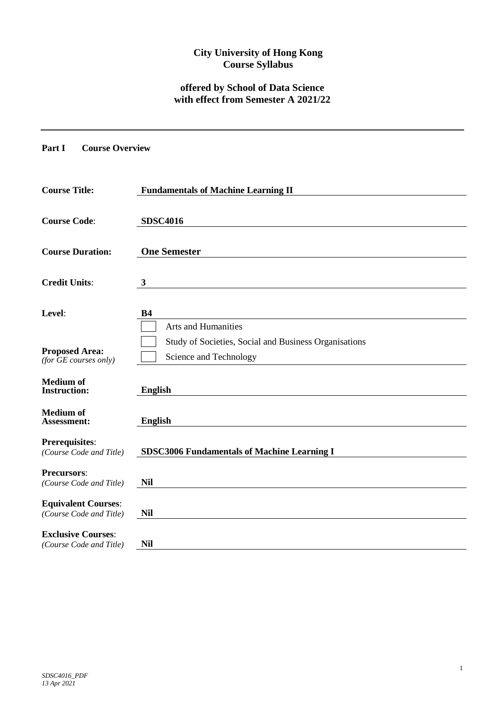# **City University of Hong Kong Course Syllabus**

# **offered by School of Data Science with effect from Semester A 2021/22**

#### **Part I Course Overview**

| <b>Course Title:</b>                                  | <b>Fundamentals of Machine Learning II</b>                                      |  |  |  |  |  |
|-------------------------------------------------------|---------------------------------------------------------------------------------|--|--|--|--|--|
| <b>Course Code:</b>                                   | <b>SDSC4016</b>                                                                 |  |  |  |  |  |
| <b>Course Duration:</b>                               | <b>One Semester</b>                                                             |  |  |  |  |  |
| <b>Credit Units:</b>                                  | 3                                                                               |  |  |  |  |  |
| Level:                                                | <b>B4</b><br>Arts and Humanities                                                |  |  |  |  |  |
| <b>Proposed Area:</b><br>(for $GE$ courses only)      | Study of Societies, Social and Business Organisations<br>Science and Technology |  |  |  |  |  |
| <b>Medium</b> of<br><b>Instruction:</b>               | <b>English</b>                                                                  |  |  |  |  |  |
| <b>Medium</b> of<br>Assessment:                       | <b>English</b>                                                                  |  |  |  |  |  |
| <b>Prerequisites:</b><br>(Course Code and Title)      | <b>SDSC3006 Fundamentals of Machine Learning I</b>                              |  |  |  |  |  |
| <b>Precursors:</b><br>(Course Code and Title)         | <b>Nil</b>                                                                      |  |  |  |  |  |
| <b>Equivalent Courses:</b><br>(Course Code and Title) | <b>Nil</b>                                                                      |  |  |  |  |  |
| <b>Exclusive Courses:</b><br>(Course Code and Title)  | <b>Nil</b>                                                                      |  |  |  |  |  |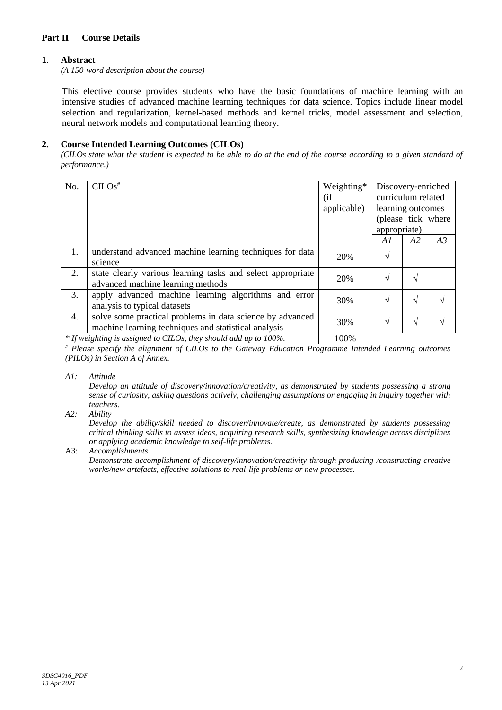## **Part II Course Details**

## **1. Abstract**

*(A 150-word description about the course)*

This elective course provides students who have the basic foundations of machine learning with an intensive studies of advanced machine learning techniques for data science. Topics include linear model selection and regularization, kernel-based methods and kernel tricks, model assessment and selection, neural network models and computational learning theory.

## **2. Course Intended Learning Outcomes (CILOs)**

*(CILOs state what the student is expected to be able to do at the end of the course according to a given standard of performance.)*

| No. | $CLOS$ <sup>#</sup>                                                                                               | Weighting*<br>(i f)<br>applicable) | Discovery-enriched<br>curriculum related<br>learning outcomes<br>(please tick where |    |    |
|-----|-------------------------------------------------------------------------------------------------------------------|------------------------------------|-------------------------------------------------------------------------------------|----|----|
|     |                                                                                                                   |                                    | A1                                                                                  | A2 | A3 |
| 1.  | understand advanced machine learning techniques for data<br>science                                               | 20%                                | $\sqrt{}$                                                                           |    |    |
| 2.  | state clearly various learning tasks and select appropriate<br>advanced machine learning methods                  | 20%                                | $\mathcal{N}$                                                                       |    |    |
| 3.  | apply advanced machine learning algorithms and error<br>analysis to typical datasets                              | 30%                                | $\sqrt{}$                                                                           | N  |    |
| 4.  | solve some practical problems in data science by advanced<br>machine learning techniques and statistical analysis | 30%                                | $\mathcal{N}$                                                                       | N  |    |
|     | $*$ If $\ldots$ ; Line is essentially CILOs demonstrated all $\ldots$ 1000/                                       | 1000'                              |                                                                                     |    |    |

*\* If weighting is assigned to CILOs, they should add up to 100%.* | 100%

*# Please specify the alignment of CILOs to the Gateway Education Programme Intended Learning outcomes (PILOs) in Section A of Annex.* 

*A1: Attitude* 

*Develop an attitude of discovery/innovation/creativity, as demonstrated by students possessing a strong sense of curiosity, asking questions actively, challenging assumptions or engaging in inquiry together with teachers.*

*A2: Ability*

*Develop the ability/skill needed to discover/innovate/create, as demonstrated by students possessing critical thinking skills to assess ideas, acquiring research skills, synthesizing knowledge across disciplines or applying academic knowledge to self-life problems.*

A3: *Accomplishments*

*Demonstrate accomplishment of discovery/innovation/creativity through producing /constructing creative works/new artefacts, effective solutions to real-life problems or new processes.*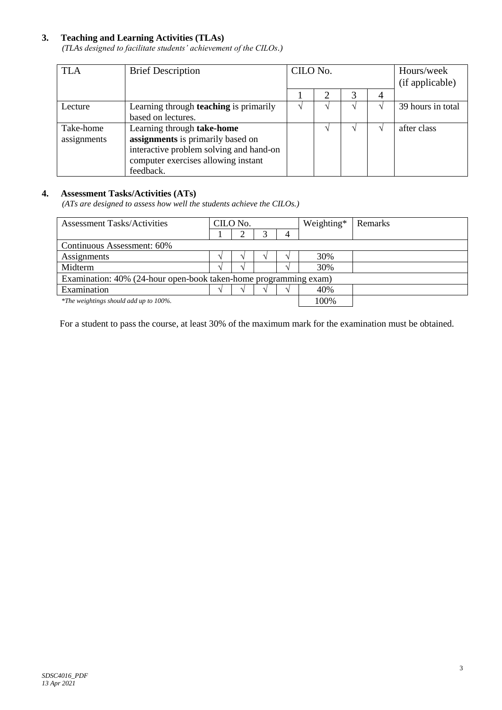# **3. Teaching and Learning Activities (TLAs)**

*(TLAs designed to facilitate students' achievement of the CILOs.)*

| <b>TLA</b>  | <b>Brief Description</b>                      | CILO No. |  |   | Hours/week<br>(if applicable) |                   |
|-------------|-----------------------------------------------|----------|--|---|-------------------------------|-------------------|
|             |                                               |          |  | 3 |                               |                   |
| Lecture     | Learning through <b>teaching</b> is primarily |          |  |   |                               | 39 hours in total |
|             | based on lectures.                            |          |  |   |                               |                   |
| Take-home   | Learning through take-home                    |          |  |   |                               | after class       |
| assignments | assignments is primarily based on             |          |  |   |                               |                   |
|             | interactive problem solving and hand-on       |          |  |   |                               |                   |
|             | computer exercises allowing instant           |          |  |   |                               |                   |
|             | feedback.                                     |          |  |   |                               |                   |

#### **4. Assessment Tasks/Activities (ATs)**

*(ATs are designed to assess how well the students achieve the CILOs.)*

| <b>Assessment Tasks/Activities</b>                               | CILO No. |  |  |   | Weighting* | Remarks |
|------------------------------------------------------------------|----------|--|--|---|------------|---------|
|                                                                  |          |  |  | 4 |            |         |
| Continuous Assessment: 60%                                       |          |  |  |   |            |         |
| Assignments                                                      |          |  |  |   | 30%        |         |
| Midterm                                                          |          |  |  |   | 30%        |         |
| Examination: 40% (24-hour open-book taken-home programming exam) |          |  |  |   |            |         |
| Examination                                                      |          |  |  |   | 40%        |         |
| *The weightings should add up to 100%.                           |          |  |  |   | 100%       |         |

For a student to pass the course, at least 30% of the maximum mark for the examination must be obtained.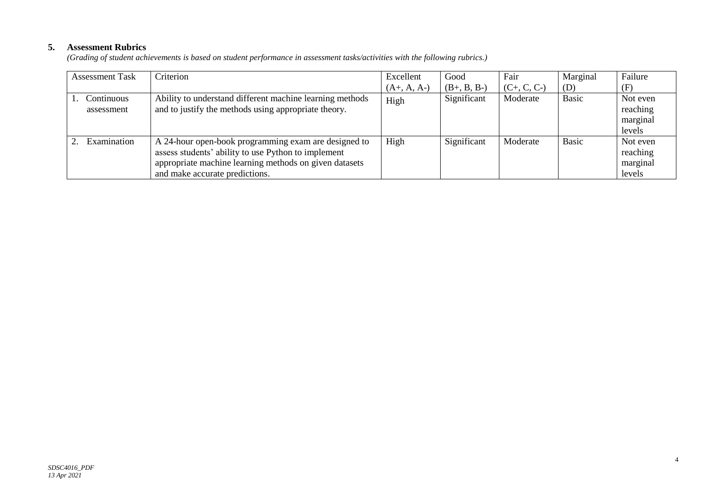# **5. Assessment Rubrics**

*(Grading of student achievements is based on student performance in assessment tasks/activities with the following rubrics.)*

| <b>Assessment Task</b> | Criterion                                                | Excellent     | Good          | Fair          | Marginal | Failure  |
|------------------------|----------------------------------------------------------|---------------|---------------|---------------|----------|----------|
|                        |                                                          | $(A+, A, A-)$ | $(B+, B, B-)$ | $(C+, C, C-)$ | (D)      | (F)      |
| Continuous             | Ability to understand different machine learning methods | High          | Significant   | Moderate      | Basic    | Not even |
| assessment             | and to justify the methods using appropriate theory.     |               |               |               |          | reaching |
|                        |                                                          |               |               |               |          | marginal |
|                        |                                                          |               |               |               |          | levels   |
| Examination            | A 24-hour open-book programming exam are designed to     | High          | Significant   | Moderate      | Basic    | Not even |
|                        | assess students' ability to use Python to implement      |               |               |               |          | reaching |
|                        | appropriate machine learning methods on given datasets   |               |               |               |          | marginal |
|                        | and make accurate predictions.                           |               |               |               |          | levels   |